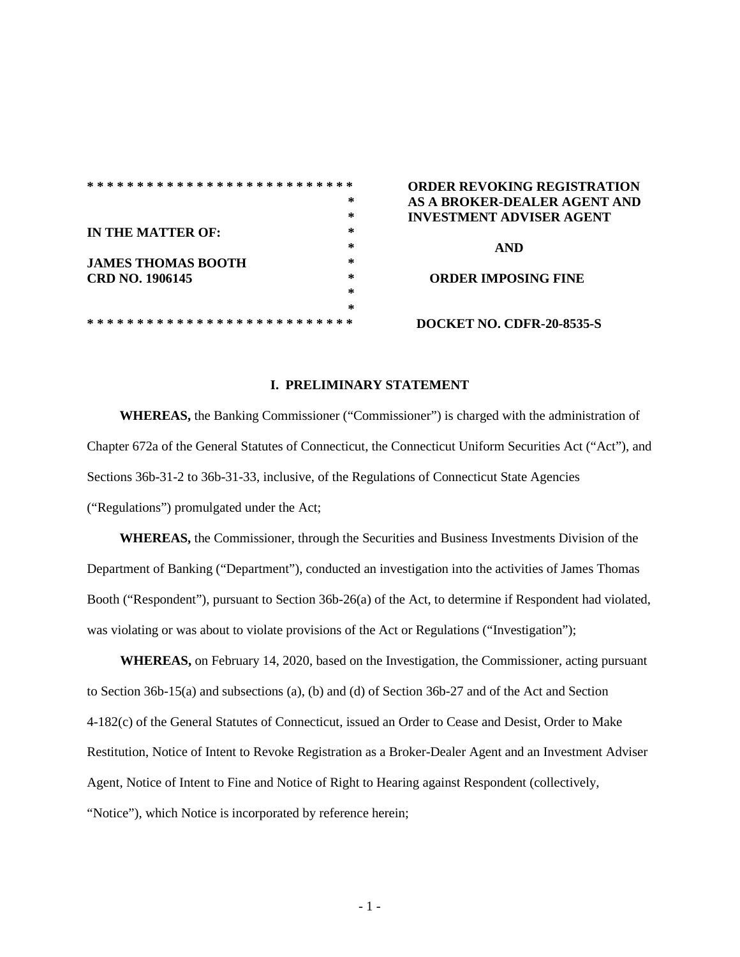|                           | ∗ |
|---------------------------|---|
|                           | * |
| IN THE MATTER OF:         | * |
|                           | * |
| <b>JAMES THOMAS BOOTH</b> | * |
| CRD NO. 1906145           | ∗ |
|                           | * |
|                           | * |
|                           |   |

## **\* \* \* \* \* \* \* \* \* \* \* \* \* \* \* \* \* \* \* \* \* \* \* \* \* \* \* ORDER REVOKING REGISTRATION \* AS A BROKER-DEALER AGENT AND \* INVESTMENT ADVISER AGENT**

**\* AND CORDER IMPOSING FINE** 

**\* \* \* \* \* \* \* \* \* \* \* \* \* \* \* \* \* \* \* \* \* \* \* \* \* \* \* DOCKET NO. CDFR-20-8535-S**

## **I. PRELIMINARY STATEMENT**

**WHEREAS,** the Banking Commissioner ("Commissioner") is charged with the administration of Chapter 672a of the General Statutes of Connecticut, the Connecticut Uniform Securities Act ("Act"), and Sections 36b-31-2 to 36b-31-33, inclusive, of the Regulations of Connecticut State Agencies ("Regulations") promulgated under the Act;

**WHEREAS,** the Commissioner, through the Securities and Business Investments Division of the Department of Banking ("Department"), conducted an investigation into the activities of James Thomas Booth ("Respondent"), pursuant to Section 36b-26(a) of the Act, to determine if Respondent had violated, was violating or was about to violate provisions of the Act or Regulations ("Investigation");

**WHEREAS,** on February 14, 2020, based on the Investigation, the Commissioner*,* acting pursuant to Section 36b-15(a) and subsections (a), (b) and (d) of Section 36b-27 and of the Act and Section 4-182(c) of the General Statutes of Connecticut, issued an Order to Cease and Desist, Order to Make Restitution, Notice of Intent to Revoke Registration as a Broker-Dealer Agent and an Investment Adviser Agent, Notice of Intent to Fine and Notice of Right to Hearing against Respondent (collectively, "Notice"), which Notice is incorporated by reference herein;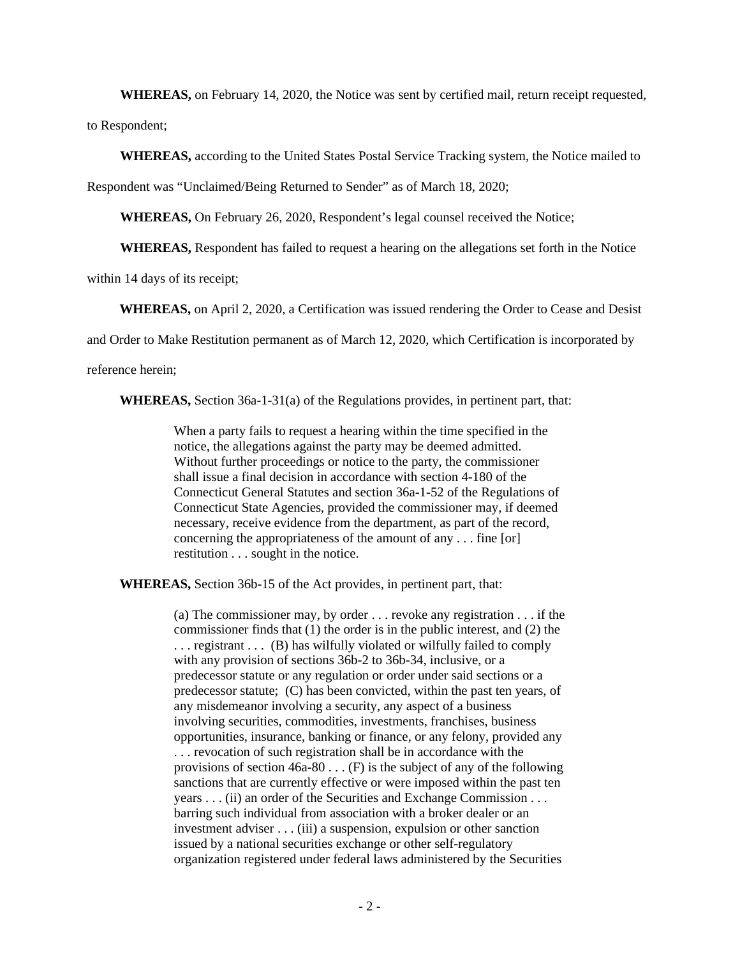**WHEREAS,** on February 14, 2020, the Notice was sent by certified mail, return receipt requested,

to Respondent;

**WHEREAS,** according to the United States Postal Service Tracking system, the Notice mailed to

Respondent was "Unclaimed/Being Returned to Sender" as of March 18, 2020;

**WHEREAS,** On February 26, 2020, Respondent's legal counsel received the Notice;

**WHEREAS,** Respondent has failed to request a hearing on the allegations set forth in the Notice

within 14 days of its receipt;

**WHEREAS,** on April 2, 2020, a Certification was issued rendering the Order to Cease and Desist

and Order to Make Restitution permanent as of March 12, 2020, which Certification is incorporated by

reference herein;

**WHEREAS,** Section 36a-1-31(a) of the Regulations provides, in pertinent part, that:

When a party fails to request a hearing within the time specified in the notice, the allegations against the party may be deemed admitted. Without further proceedings or notice to the party, the commissioner shall issue a final decision in accordance with section 4-180 of the Connecticut General Statutes and section 36a-1-52 of the Regulations of Connecticut State Agencies, provided the commissioner may, if deemed necessary, receive evidence from the department, as part of the record, concerning the appropriateness of the amount of any . . . fine [or] restitution . . . sought in the notice.

**WHEREAS,** Section 36b-15 of the Act provides, in pertinent part, that:

(a) The commissioner may, by order . . . revoke any registration . . . if the commissioner finds that (1) the order is in the public interest, and (2) the ... registrant ... (B) has wilfully violated or wilfully failed to comply with any provision of sections 36b-2 to 36b-34, inclusive, or a predecessor statute or any regulation or order under said sections or a predecessor statute; (C) has been convicted, within the past ten years, of any misdemeanor involving a security, any aspect of a business involving securities, commodities, investments, franchises, business opportunities, insurance, banking or finance, or any felony, provided any . . . revocation of such registration shall be in accordance with the provisions of section  $46a-80$ ... (F) is the subject of any of the following sanctions that are currently effective or were imposed within the past ten years . . . (ii) an order of the Securities and Exchange Commission . . . barring such individual from association with a broker dealer or an investment adviser . . . (iii) a suspension, expulsion or other sanction issued by a national securities exchange or other self-regulatory organization registered under federal laws administered by the Securities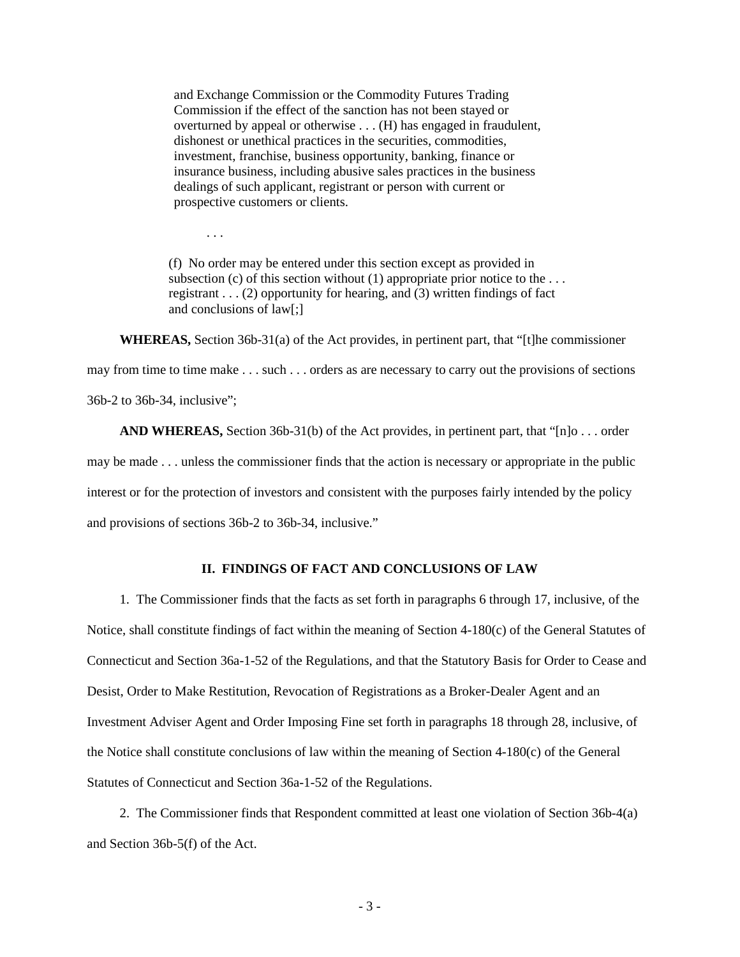and Exchange Commission or the Commodity Futures Trading Commission if the effect of the sanction has not been stayed or overturned by appeal or otherwise . . . (H) has engaged in fraudulent, dishonest or unethical practices in the securities, commodities, investment, franchise, business opportunity, banking, finance or insurance business, including abusive sales practices in the business dealings of such applicant, registrant or person with current or prospective customers or clients.

. . .

(f) No order may be entered under this section except as provided in subsection (c) of this section without  $(1)$  appropriate prior notice to the ... registrant  $\dots$  (2) opportunity for hearing, and (3) written findings of fact and conclusions of law[;]

**WHEREAS,** Section 36b-31(a) of the Act provides, in pertinent part, that "[t]he commissioner may from time to time make . . . such . . . orders as are necessary to carry out the provisions of sections 36b-2 to 36b-34, inclusive";

**AND WHEREAS,** Section 36b-31(b) of the Act provides, in pertinent part, that "[n]o . . . order may be made . . . unless the commissioner finds that the action is necessary or appropriate in the public interest or for the protection of investors and consistent with the purposes fairly intended by the policy and provisions of sections 36b-2 to 36b-34, inclusive."

## **II. FINDINGS OF FACT AND CONCLUSIONS OF LAW**

1. The Commissioner finds that the facts as set forth in paragraphs 6 through 17, inclusive, of the Notice, shall constitute findings of fact within the meaning of Section 4-180(c) of the General Statutes of Connecticut and Section 36a-1-52 of the Regulations, and that the Statutory Basis for Order to Cease and Desist, Order to Make Restitution, Revocation of Registrations as a Broker-Dealer Agent and an Investment Adviser Agent and Order Imposing Fine set forth in paragraphs 18 through 28, inclusive, of the Notice shall constitute conclusions of law within the meaning of Section 4-180(c) of the General Statutes of Connecticut and Section 36a-1-52 of the Regulations.

2. The Commissioner finds that Respondent committed at least one violation of Section 36b-4(a) and Section 36b-5(f) of the Act.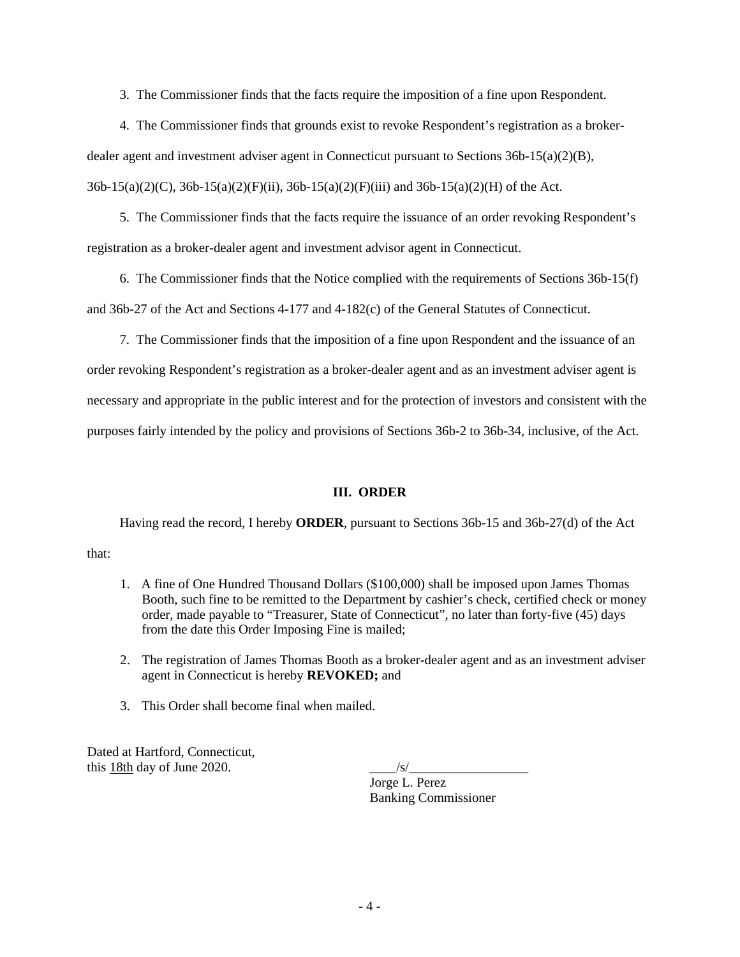3. The Commissioner finds that the facts require the imposition of a fine upon Respondent.

4. The Commissioner finds that grounds exist to revoke Respondent's registration as a brokerdealer agent and investment adviser agent in Connecticut pursuant to Sections 36b-15(a)(2)(B), 36b-15(a)(2)(C), 36b-15(a)(2)(F)(ii), 36b-15(a)(2)(F)(iii) and 36b-15(a)(2)(H) of the Act.

5. The Commissioner finds that the facts require the issuance of an order revoking Respondent's registration as a broker-dealer agent and investment advisor agent in Connecticut.

6. The Commissioner finds that the Notice complied with the requirements of Sections 36b-15(f) and 36b-27 of the Act and Sections 4-177 and 4-182(c) of the General Statutes of Connecticut.

7. The Commissioner finds that the imposition of a fine upon Respondent and the issuance of an order revoking Respondent's registration as a broker-dealer agent and as an investment adviser agent is necessary and appropriate in the public interest and for the protection of investors and consistent with the purposes fairly intended by the policy and provisions of Sections 36b-2 to 36b-34, inclusive, of the Act.

## **III. ORDER**

Having read the record, I hereby **ORDER**, pursuant to Sections 36b-15 and 36b-27(d) of the Act

that:

- 1. A fine of One Hundred Thousand Dollars (\$100,000) shall be imposed upon James Thomas Booth, such fine to be remitted to the Department by cashier's check, certified check or money order, made payable to "Treasurer, State of Connecticut", no later than forty-five (45) days from the date this Order Imposing Fine is mailed;
- 2. The registration of James Thomas Booth as a broker-dealer agent and as an investment adviser agent in Connecticut is hereby **REVOKED;** and
- 3. This Order shall become final when mailed.

Dated at Hartford, Connecticut, this 18th day of June  $2020$ .

Jorge L. Perez Banking Commissioner